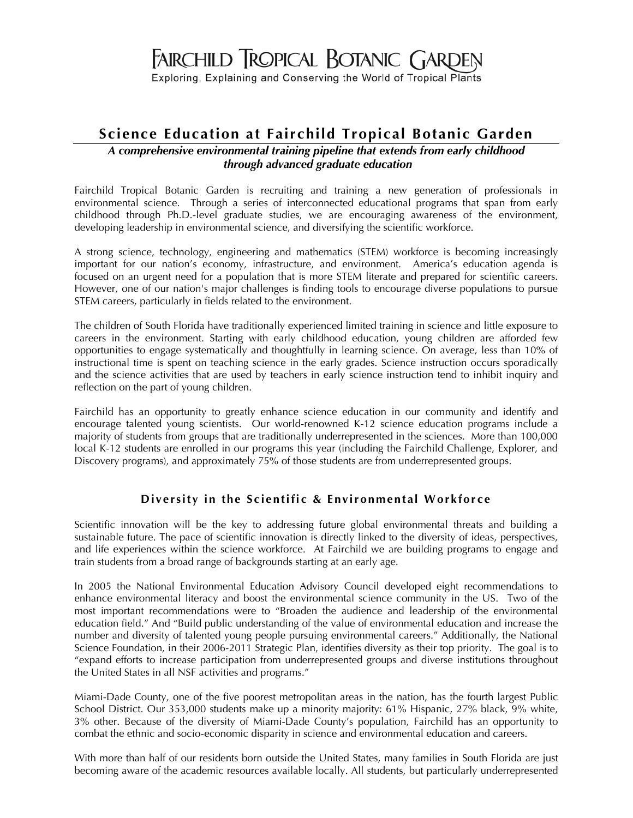# FAIRCHILD TROPICAL BOTANIC GARDEN

Exploring, Explaining and Conserving the World of Tropical Plants

# **Science Education at Fairchild Tropical Botanic Garden**

#### *A comprehensive environmental training pipeline that extends from early childhood through advanced graduate education*

Fairchild Tropical Botanic Garden is recruiting and training a new generation of professionals in environmental science. Through a series of interconnected educational programs that span from early childhood through Ph.D.-level graduate studies, we are encouraging awareness of the environment, developing leadership in environmental science, and diversifying the scientific workforce.

A strong science, technology, engineering and mathematics (STEM) workforce is becoming increasingly important for our nation's economy, infrastructure, and environment. America's education agenda is focused on an urgent need for a population that is more STEM literate and prepared for scientific careers. However, one of our nation's major challenges is finding tools to encourage diverse populations to pursue STEM careers, particularly in fields related to the environment.

The children of South Florida have traditionally experienced limited training in science and little exposure to careers in the environment. Starting with early childhood education, young children are afforded few opportunities to engage systematically and thoughtfully in learning science. On average, less than 10% of instructional time is spent on teaching science in the early grades. Science instruction occurs sporadically and the science activities that are used by teachers in early science instruction tend to inhibit inquiry and reflection on the part of young children.

Fairchild has an opportunity to greatly enhance science education in our community and identify and encourage talented young scientists. Our world-renowned K-12 science education programs include a majority of students from groups that are traditionally underrepresented in the sciences. More than 100,000 local K-12 students are enrolled in our programs this year (including the Fairchild Challenge, Explorer, and Discovery programs), and approximately 75% of those students are from underrepresented groups.

## **Diversity in the Scientific & Environmental Workforce**

Scientific innovation will be the key to addressing future global environmental threats and building a sustainable future. The pace of scientific innovation is directly linked to the diversity of ideas, perspectives, and life experiences within the science workforce. At Fairchild we are building programs to engage and train students from a broad range of backgrounds starting at an early age.

In 2005 the National Environmental Education Advisory Council developed eight recommendations to enhance environmental literacy and boost the environmental science community in the US. Two of the most important recommendations were to "Broaden the audience and leadership of the environmental education field." And "Build public understanding of the value of environmental education and increase the number and diversity of talented young people pursuing environmental careers." Additionally, the National Science Foundation, in their 2006-2011 Strategic Plan, identifies diversity as their top priority. The goal is to "expand efforts to increase participation from underrepresented groups and diverse institutions throughout the United States in all NSF activities and programs."

Miami-Dade County, one of the five poorest metropolitan areas in the nation, has the fourth largest Public School District. Our 353,000 students make up a minority majority: 61% Hispanic, 27% black, 9% white, 3% other. Because of the diversity of Miami-Dade County's population, Fairchild has an opportunity to combat the ethnic and socio-economic disparity in science and environmental education and careers.

With more than half of our residents born outside the United States, many families in South Florida are just becoming aware of the academic resources available locally. All students, but particularly underrepresented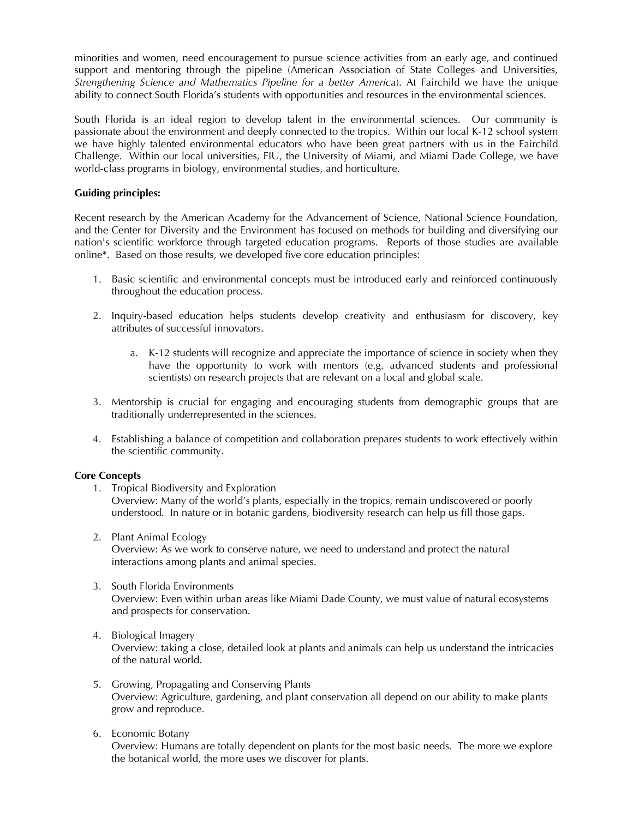minorities and women, need encouragement to pursue science activities from an early age, and continued support and mentoring through the pipeline (American Association of State Colleges and Universities, *Strengthening Science and Mathematics Pipeline for a better America*). At Fairchild we have the unique ability to connect South Florida's students with opportunities and resources in the environmental sciences.

South Florida is an ideal region to develop talent in the environmental sciences. Our community is passionate about the environment and deeply connected to the tropics. Within our local K-12 school system we have highly talented environmental educators who have been great partners with us in the Fairchild Challenge. Within our local universities, FIU, the University of Miami, and Miami Dade College, we have world-class programs in biology, environmental studies, and horticulture.

#### **Guiding principles:**

Recent research by the American Academy for the Advancement of Science, National Science Foundation, and the Center for Diversity and the Environment has focused on methods for building and diversifying our nation's scientific workforce through targeted education programs. Reports of those studies are available online\*. Based on those results, we developed five core education principles:

- 1. Basic scientific and environmental concepts must be introduced early and reinforced continuously throughout the education process.
- 2. Inquiry-based education helps students develop creativity and enthusiasm for discovery, key attributes of successful innovators.
	- a. K-12 students will recognize and appreciate the importance of science in society when they have the opportunity to work with mentors (e.g. advanced students and professional scientists) on research projects that are relevant on a local and global scale.
- 3. Mentorship is crucial for engaging and encouraging students from demographic groups that are traditionally underrepresented in the sciences.
- 4. Establishing a balance of competition and collaboration prepares students to work effectively within the scientific community.

#### **Core Concepts**

1. Tropical Biodiversity and Exploration

Overview: Many of the world's plants, especially in the tropics, remain undiscovered or poorly understood. In nature or in botanic gardens, biodiversity research can help us fill those gaps.

2. Plant Animal Ecology

Overview: As we work to conserve nature, we need to understand and protect the natural interactions among plants and animal species.

- 3. South Florida Environments Overview: Even within urban areas like Miami Dade County, we must value of natural ecosystems and prospects for conservation.
- 4. Biological Imagery Overview: taking a close, detailed look at plants and animals can help us understand the intricacies of the natural world.
- 5. Growing, Propagating and Conserving Plants Overview: Agriculture, gardening, and plant conservation all depend on our ability to make plants grow and reproduce.
- 6. Economic Botany Overview: Humans are totally dependent on plants for the most basic needs. The more we explore the botanical world, the more uses we discover for plants.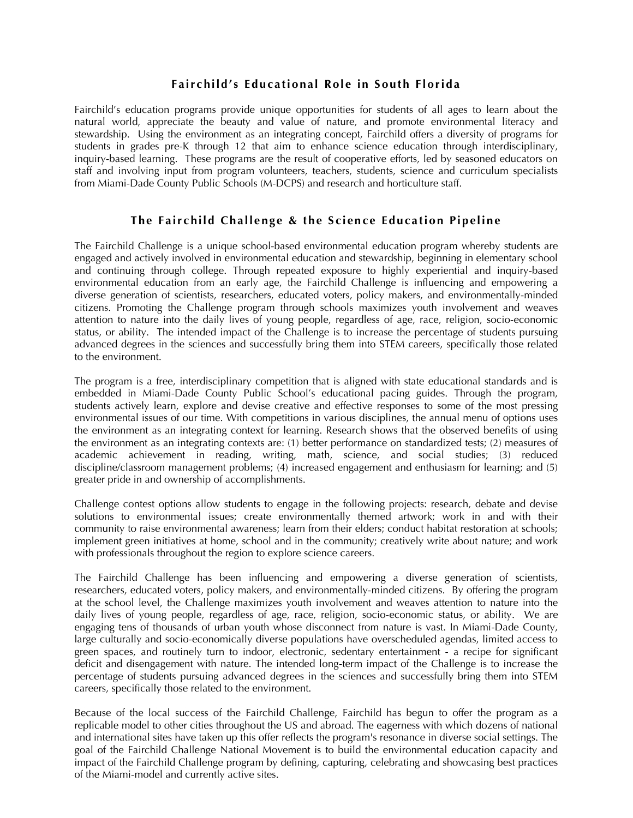#### **Fair child's Educational Role in South Florida**

Fairchild's education programs provide unique opportunities for students of all ages to learn about the natural world, appreciate the beauty and value of nature, and promote environmental literacy and stewardship. Using the environment as an integrating concept, Fairchild offers a diversity of programs for students in grades pre-K through 12 that aim to enhance science education through interdisciplinary, inquiry-based learning. These programs are the result of cooperative efforts, led by seasoned educators on staff and involving input from program volunteers, teachers, students, science and curriculum specialists from Miami-Dade County Public Schools (M-DCPS) and research and horticulture staff.

#### **The Fairchild Challenge & the Science Education Pipeline**

The Fairchild Challenge is a unique school-based environmental education program whereby students are engaged and actively involved in environmental education and stewardship, beginning in elementary school and continuing through college. Through repeated exposure to highly experiential and inquiry-based environmental education from an early age, the Fairchild Challenge is influencing and empowering a diverse generation of scientists, researchers, educated voters, policy makers, and environmentally-minded citizens. Promoting the Challenge program through schools maximizes youth involvement and weaves attention to nature into the daily lives of young people, regardless of age, race, religion, socio-economic status, or ability. The intended impact of the Challenge is to increase the percentage of students pursuing advanced degrees in the sciences and successfully bring them into STEM careers, specifically those related to the environment.

The program is a free, interdisciplinary competition that is aligned with state educational standards and is embedded in Miami-Dade County Public School's educational pacing guides. Through the program, students actively learn, explore and devise creative and effective responses to some of the most pressing environmental issues of our time. With competitions in various disciplines, the annual menu of options uses the environment as an integrating context for learning. Research shows that the observed benefits of using the environment as an integrating contexts are: (1) better performance on standardized tests; (2) measures of academic achievement in reading, writing, math, science, and social studies; (3) reduced discipline/classroom management problems; (4) increased engagement and enthusiasm for learning; and (5) greater pride in and ownership of accomplishments.

Challenge contest options allow students to engage in the following projects: research, debate and devise solutions to environmental issues; create environmentally themed artwork; work in and with their community to raise environmental awareness; learn from their elders; conduct habitat restoration at schools; implement green initiatives at home, school and in the community; creatively write about nature; and work with professionals throughout the region to explore science careers.

The Fairchild Challenge has been influencing and empowering a diverse generation of scientists, researchers, educated voters, policy makers, and environmentally-minded citizens. By offering the program at the school level, the Challenge maximizes youth involvement and weaves attention to nature into the daily lives of young people, regardless of age, race, religion, socio-economic status, or ability. We are engaging tens of thousands of urban youth whose disconnect from nature is vast. In Miami-Dade County, large culturally and socio-economically diverse populations have overscheduled agendas, limited access to green spaces, and routinely turn to indoor, electronic, sedentary entertainment - a recipe for significant deficit and disengagement with nature. The intended long-term impact of the Challenge is to increase the percentage of students pursuing advanced degrees in the sciences and successfully bring them into STEM careers, specifically those related to the environment.

Because of the local success of the Fairchild Challenge, Fairchild has begun to offer the program as a replicable model to other cities throughout the US and abroad. The eagerness with which dozens of national and international sites have taken up this offer reflects the program's resonance in diverse social settings. The goal of the Fairchild Challenge National Movement is to build the environmental education capacity and impact of the Fairchild Challenge program by defining, capturing, celebrating and showcasing best practices of the Miami-model and currently active sites.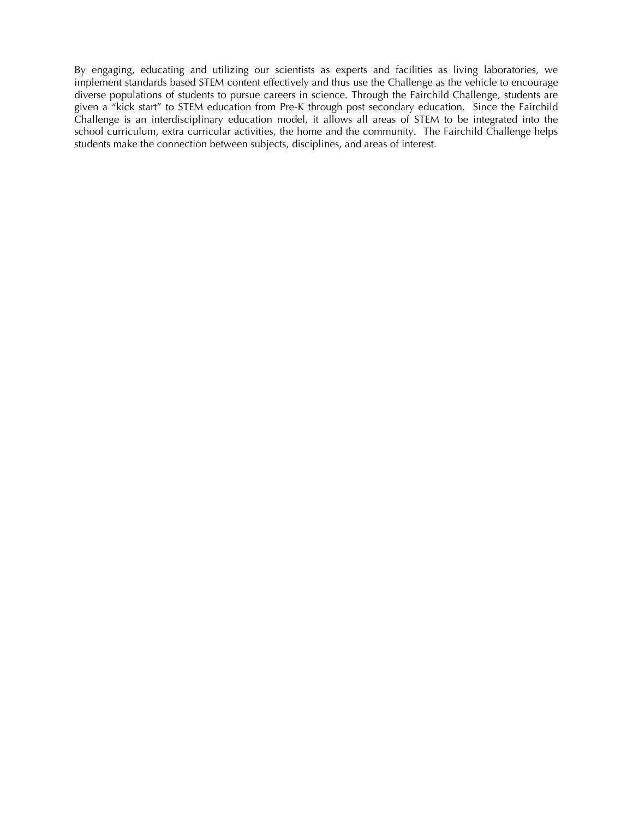By engaging, educating and utilizing our scientists as experts and facilities as living laboratories, we implement standards based STEM content effectively and thus use the Challenge as the vehicle to encourage diverse populations of students to pursue careers in science. Through the Fairchild Challenge, students are given a "kick start" to STEM education from Pre-K through post secondary education. Since the Fairchild Challenge is an interdisciplinary education model, it allows all areas of STEM to be integrated into the school curriculum, extra curricular activities, the home and the community. The Fairchild Challenge helps students make the connection between subjects, disciplines, and areas of interest.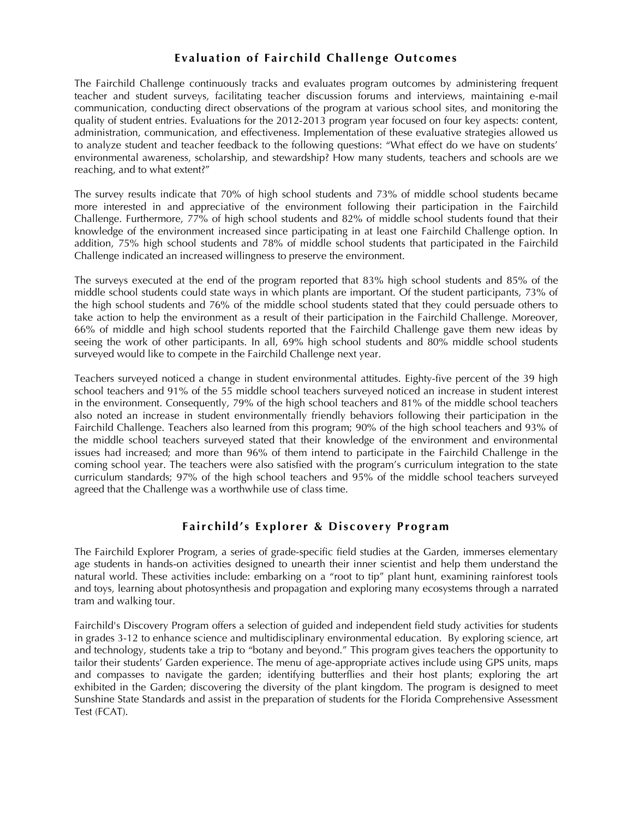## **Eva luation of Fairchild Challenge Outcomes**

The Fairchild Challenge continuously tracks and evaluates program outcomes by administering frequent teacher and student surveys, facilitating teacher discussion forums and interviews, maintaining e-mail communication, conducting direct observations of the program at various school sites, and monitoring the quality of student entries. Evaluations for the 2012-2013 program year focused on four key aspects: content, administration, communication, and effectiveness. Implementation of these evaluative strategies allowed us to analyze student and teacher feedback to the following questions: "What effect do we have on students' environmental awareness, scholarship, and stewardship? How many students, teachers and schools are we reaching, and to what extent?"

The survey results indicate that 70% of high school students and 73% of middle school students became more interested in and appreciative of the environment following their participation in the Fairchild Challenge. Furthermore, 77% of high school students and 82% of middle school students found that their knowledge of the environment increased since participating in at least one Fairchild Challenge option. In addition, 75% high school students and 78% of middle school students that participated in the Fairchild Challenge indicated an increased willingness to preserve the environment.

The surveys executed at the end of the program reported that 83% high school students and 85% of the middle school students could state ways in which plants are important. Of the student participants, 73% of the high school students and 76% of the middle school students stated that they could persuade others to take action to help the environment as a result of their participation in the Fairchild Challenge. Moreover, 66% of middle and high school students reported that the Fairchild Challenge gave them new ideas by seeing the work of other participants. In all, 69% high school students and 80% middle school students surveyed would like to compete in the Fairchild Challenge next year.

Teachers surveyed noticed a change in student environmental attitudes. Eighty-five percent of the 39 high school teachers and 91% of the 55 middle school teachers surveyed noticed an increase in student interest in the environment. Consequently, 79% of the high school teachers and 81% of the middle school teachers also noted an increase in student environmentally friendly behaviors following their participation in the Fairchild Challenge. Teachers also learned from this program; 90% of the high school teachers and 93% of the middle school teachers surveyed stated that their knowledge of the environment and environmental issues had increased; and more than 96% of them intend to participate in the Fairchild Challenge in the coming school year. The teachers were also satisfied with the program's curriculum integration to the state curriculum standards; 97% of the high school teachers and 95% of the middle school teachers surveyed agreed that the Challenge was a worthwhile use of class time.

#### **Fairchild's Explorer & Discovery Program**

The Fairchild Explorer Program, a series of grade-specific field studies at the Garden, immerses elementary age students in hands-on activities designed to unearth their inner scientist and help them understand the natural world. These activities include: embarking on a "root to tip" plant hunt, examining rainforest tools and toys, learning about photosynthesis and propagation and exploring many ecosystems through a narrated tram and walking tour.

Fairchild's Discovery Program offers a selection of guided and independent field study activities for students in grades 3-12 to enhance science and multidisciplinary environmental education. By exploring science, art and technology, students take a trip to "botany and beyond." This program gives teachers the opportunity to tailor their students' Garden experience. The menu of age-appropriate actives include using GPS units, maps and compasses to navigate the garden; identifying butterflies and their host plants; exploring the art exhibited in the Garden; discovering the diversity of the plant kingdom. The program is designed to meet Sunshine State Standards and assist in the preparation of students for the Florida Comprehensive Assessment Test (FCAT).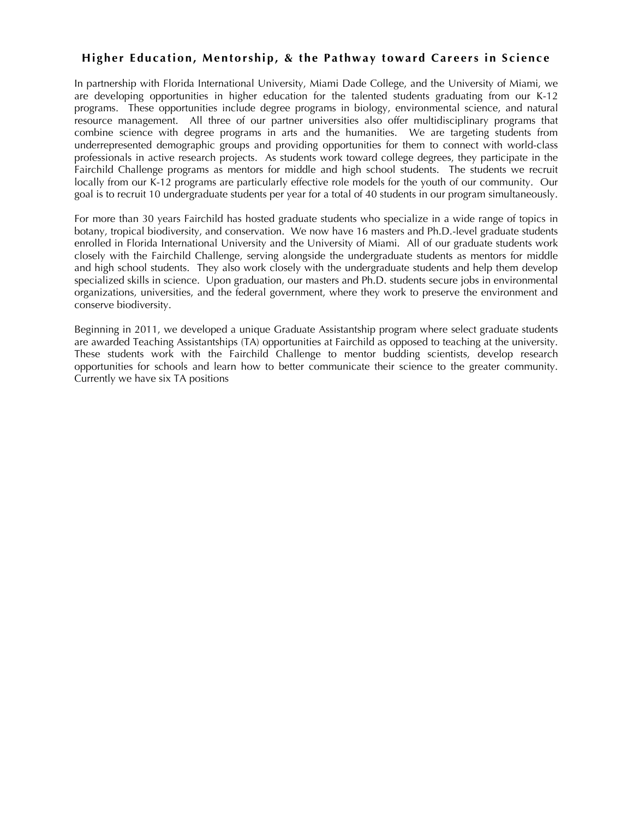#### **Higher Education, Mentorship, & the Pathway toward Careers in S cience**

In partnership with Florida International University, Miami Dade College, and the University of Miami, we are developing opportunities in higher education for the talented students graduating from our K-12 programs. These opportunities include degree programs in biology, environmental science, and natural resource management. All three of our partner universities also offer multidisciplinary programs that combine science with degree programs in arts and the humanities. We are targeting students from underrepresented demographic groups and providing opportunities for them to connect with world-class professionals in active research projects. As students work toward college degrees, they participate in the Fairchild Challenge programs as mentors for middle and high school students. The students we recruit locally from our K-12 programs are particularly effective role models for the youth of our community. Our goal is to recruit 10 undergraduate students per year for a total of 40 students in our program simultaneously.

For more than 30 years Fairchild has hosted graduate students who specialize in a wide range of topics in botany, tropical biodiversity, and conservation. We now have 16 masters and Ph.D.-level graduate students enrolled in Florida International University and the University of Miami. All of our graduate students work closely with the Fairchild Challenge, serving alongside the undergraduate students as mentors for middle and high school students. They also work closely with the undergraduate students and help them develop specialized skills in science. Upon graduation, our masters and Ph.D. students secure jobs in environmental organizations, universities, and the federal government, where they work to preserve the environment and conserve biodiversity.

Beginning in 2011, we developed a unique Graduate Assistantship program where select graduate students are awarded Teaching Assistantships (TA) opportunities at Fairchild as opposed to teaching at the university. These students work with the Fairchild Challenge to mentor budding scientists, develop research opportunities for schools and learn how to better communicate their science to the greater community. Currently we have six TA positions